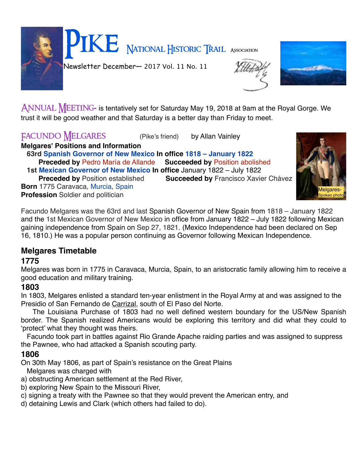Pike National Historic Trail Association Newsletter December— 2017 Vol. 11 No. 11

ANNUAL MEETING- is tentatively set for Saturday May 19, 2018 at 9am at the Royal Gorge. We trust it will be good weather and that Saturday is a better day than Friday to meet.

## FACUNDO MELGARES (Pike's friend) by Allan Vainley

**Melgares' Positions and Information**

 **63rd [Spanish Governor of New Mexico](https://en.wikipedia.org/wiki/List_of_Spanish_governors_of_New_Mexico) In office 1818 – January 1822 Preceded by** [Pedro María de Allande](https://en.wikipedia.org/w/index.php?title=Pedro_Mar%C3%ADa_de_Allande&action=edit&redlink=1) **Succeeded by** Position abolished  **1st [Mexican Governor of New Mexico](https://en.wikipedia.org/wiki/Mexican_governors_of_New_Mexico) In office** January 1822 – July 1822

**Succeeded by [Francisco Xavier Chávez](https://en.wikipedia.org/wiki/Francisco_Xavier_Ch%C3%A1vez)** 

**Born** 1775 Caravaca, [Murcia](https://en.wikipedia.org/wiki/Murcia_(province)), [Spain](https://en.wikipedia.org/wiki/Spain) **Profession** Soldier and politician

Facundo Melgares was the 63rd and last Spanish Governor of New Spain from 1818 – January 1822 and the 1st Mexican Governor of New Mexico in office from January 1822 – July 1822 following Mexican gaining independence from Spain on Sep 27, 1821. (Mexico Independence had been declared on Sep 16, 1810.) He was a popular person continuing as Governor following Mexican Independence.

### **Melgares Timetable**

### **1775**

Melgares was born in 1775 in Caravaca, Murcia, Spain, to an aristocratic family allowing him to receive a good education and military training.

### **1803**

In 1803, Melgares enlisted a standard ten-year enlistment in the Royal Army at and was assigned to the Presidio of San Fernando de Carrizal, south of El Paso del Norte.

 The Louisiana Purchase of 1803 had no well defined western boundary for the US/New Spanish border. The Spanish realized Americans would be exploring this territory and did what they could to 'protect' what they thought was theirs.

 Facundo took part in battles against Rio Grande Apache raiding parties and was assigned to suppress the Pawnee, who had attacked a Spanish scouting party.

### **1806**

On 30th May 1806, as part of Spain's resistance on the Great Plains

Melgares was charged with

- a) obstructing American settlement at the Red River,
- b) exploring New Spain to the Missouri River,
- c) signing a treaty with the Pawnee so that they would prevent the American entry, and
- d) detaining Lewis and Clark (which others had failed to do).



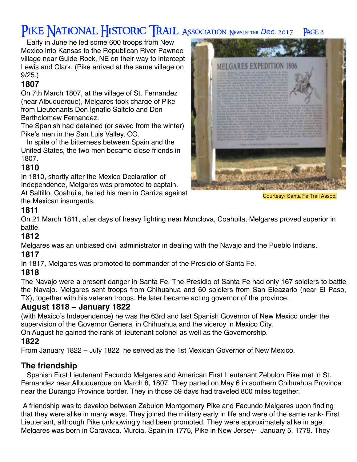# PIKE NATIONAL HISTORIC TRAIL ASSOCIATION NEWSLETTER Dec. 2017 PAGE 2

 Early in June he led some 600 troops from New Mexico into Kansas to the Republican River Pawnee village near Guide Rock, NE on their way to intercept Lewis and Clark. (Pike arrived at the same village on 9/25.)

### **1807**

On 7th March 1807, at the village of St. Fernandez (near Albuquerque), Melgares took charge of Pike from Lieutenants Don Ignatio Saltelo and Don Bartholomew Fernandez.

The Spanish had detained (or saved from the winter) Pike's men in the San Luis Valley, CO.

 In spite of the bitterness between Spain and the United States, the two men became close friends in 1807.

### **1810**

In 1810, shortly after the Mexico Declaration of Independence, Melgares was promoted to captain.

At Saltillo, Coahuila, he led his men in Carriza against the Mexican insurgents.



Courtesy- Santa Fe Trail Assoc.

## **1811**

On 21 March 1811, after days of heavy fighting near Monclova, Coahuila, Melgares proved superior in battle.

### **1812**

Melgares was an unbiased civil administrator in dealing with the Navajo and the Pueblo Indians.

#### **1817**

In 1817, Melgares was promoted to commander of the Presidio of Santa Fe.

#### **1818**

The Navajo were a present danger in Santa Fe. The Presidio of Santa Fe had only 167 soldiers to battle the Navajo. Melgares sent troops from Chihuahua and 60 soldiers from San Eleazario (near El Paso, TX), together with his veteran troops. He later became acting governor of the province.

#### **August 1818 – January 1822**

(with Mexico's Independence) he was the 63rd and last Spanish Governor of New Mexico under the supervision of the Governor General in Chihuahua and the viceroy in Mexico City. On August he gained the rank of lieutenant colonel as well as the Governorship.

### **1822**

From January 1822 – July 1822 he served as the 1st Mexican Governor of New Mexico.

### **The friendship**

 Spanish First Lieutenant Facundo Melgares and American First Lieutenant Zebulon Pike met in St. Fernandez near Albuquerque on March 8, 1807. They parted on May 6 in southern Chihuahua Province near the Durango Province border. They in those 59 days had traveled 800 miles together.

A friendship was to develop between Zebulon Montgomery Pike and Facundo Melgares upon finding that they were alike in many ways. They joined the military early in life and were of the same rank- First Lieutenant, although Pike unknowingly had been promoted. They were approximately alike in age. Melgares was born in Caravaca, Murcia, Spain in 1775, Pike in New Jersey- January 5, 1779. They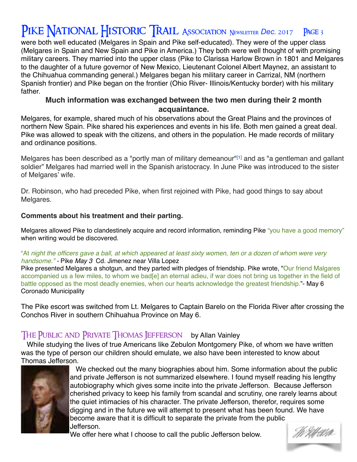# PIKE NATIONAL HISTORIC TRAIL ASSOCIATION NEWSLETTER Dec. 2017 PAGE 3

were both well educated (Melgares in Spain and Pike self-educated). They were of the upper class (Melgares in Spain and New Spain and Pike in America.) They both were well thought of with promising military careers. They married into the upper class (Pike to Clarissa Harlow Brown in 1801 and Melgares to the daughter of a future governor of New Mexico, Lieutenant Colonel Albert Maynez, an assistant to the Chihuahua commanding general.) Melgares began his military career in Carrizal, NM (northern Spanish frontier) and Pike began on the frontier (Ohio River- Illinois/Kentucky border) with his military father.

#### **Much information was exchanged between the two men during their 2 month acquaintance.**

Melgares, for example, shared much of his observations about the Great Plains and the provinces of northern New Spain. Pike shared his experiences and events in his life. Both men gained a great deal. Pike was allowed to speak with the citizens, and others in the population. He made records of military and ordinance positions.

Melgares has been described as a "portly man of military demeanour"<sup>[1]</sup> and as "a gentleman and gallant soldier" Melgares had married well in the Spanish aristocracy. In June Pike was introduced to the sister of Melgares' wife.

Dr. Robinson, who had preceded Pike, when first rejoined with Pike, had good things to say about Melgares.

#### **Comments about his treatment and their parting.**

Melgares allowed Pike to clandestinely acquire and record information, reminding Pike "you have a good memory" when writing would be discovered.

#### "At *night the officers gave a ball, at which appeared at least sixty women, ten or a dozen of whom were very handsome." -* Pike *May 3* Cd. Jimenez near Villa Lopez

Pike presented Melgares a shotgun, and they parted with pledges of friendship. Pike wrote, "Our friend Malgares accompanied us a few miles, to whom we bad[e] an eternal adieu, if war does not bring us together in the field of battle opposed as the most deadly enemies, when our hearts acknowledge the greatest friendship."- May 6 Coronado Municipality

The Pike escort was switched from Lt. Melgares to Captain Barelo on the Florida River after crossing the Conchos River in southern Chihuahua Province on May 6.

#### THE PUBLIC AND PRIVATE THOMAS JEFFERSON by Allan Vainley

 While studying the lives of true Americans like Zebulon Montgomery Pike, of whom we have written was the type of person our children should emulate, we also have been interested to know about Thomas Jefferson.



 We checked out the many biographies about him. Some information about the public and private Jefferson is not summarized elsewhere. I found myself reading his lengthy autobiography which gives some incite into the private Jefferson. Because Jefferson cherished privacy to keep his family from scandal and scrutiny, one rarely learns about the quiet intimacies of his character. The private Jefferson, therefor, requires some digging and in the future we will attempt to present what has been found. We have become aware that it is difficult to separate the private from the public Jefferson.

We offer here what I choose to call the public Jefferson below.

W Xh40a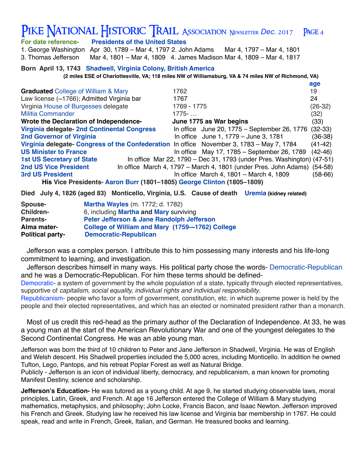|                                                                                                      | PIKE NATIONAL HISTORIC TRAIL ASSOCIATION NEWSLETTER Dec. 2017 PAGE 4 |     |  |  |  |  |
|------------------------------------------------------------------------------------------------------|----------------------------------------------------------------------|-----|--|--|--|--|
| For date reference-                                                                                  | <b>Presidents of the United States</b>                               |     |  |  |  |  |
| 1. George Washington                                                                                 | Apr 30, 1789 – Mar 4, 1797 2. John Adams Mar 4, 1797 – Mar 4, 1801   |     |  |  |  |  |
| 3. Thomas Jefferson                                                                                  | Mar 4, 1801 – Mar 4, 1809 4. James Madison Mar 4, 1809 – Mar 4, 1817 |     |  |  |  |  |
|                                                                                                      | Born April 13, 1743 Shadwell, Virginia Colony, British America       |     |  |  |  |  |
| (2 miles ESE of Charlottesville, VA; 118 miles NW of Williamsburg, VA & 74 miles NW of Richmond, VA) |                                                                      |     |  |  |  |  |
|                                                                                                      |                                                                      | age |  |  |  |  |

| <b>Graduated</b> College of William & Mary                                                | 1762                                                                     | 19        |  |  |  |  |  |  |
|-------------------------------------------------------------------------------------------|--------------------------------------------------------------------------|-----------|--|--|--|--|--|--|
| Law license $(\sim 1766)$ ; Admitted Virginia bar                                         | 1767                                                                     | 24        |  |  |  |  |  |  |
| Virginia House of Burgesses delegate                                                      | 1769 - 1775                                                              | $(26-32)$ |  |  |  |  |  |  |
| <b>Militia Commander</b>                                                                  | $1775 - $                                                                | (32)      |  |  |  |  |  |  |
| Wrote the Declaration of Independence-                                                    | June 1775 as War begins                                                  | (33)      |  |  |  |  |  |  |
| Virginia delegate- 2nd Continental Congress                                               | In office June 20, 1775 – September 26, 1776 (32-33)                     |           |  |  |  |  |  |  |
| <b>2nd Governor of Virginia</b>                                                           | In office June 1, 1779 - June 3, 1781                                    | $(36-38)$ |  |  |  |  |  |  |
| Virginia delegate- Congress of the Confederation In office November 3, 1783 – May 7, 1784 |                                                                          | $(41-42)$ |  |  |  |  |  |  |
| <b>US Minister to France</b>                                                              | In office May 17, 1785 $-$ September 26, 1789                            | $(42-46)$ |  |  |  |  |  |  |
| <b>1st US Secretary of State</b>                                                          | In office Mar 22, 1790 – Dec 31, 1793 (under Pres. Washington) (47-51)   |           |  |  |  |  |  |  |
| <b>2nd US Vice President</b>                                                              | In office March 4, 1797 – March 4, 1801 (under Pres. John Adams) (54-58) |           |  |  |  |  |  |  |
| <b>3rd US President</b>                                                                   | In office March 4, 1801 - March 4, 1809                                  | $(58-66)$ |  |  |  |  |  |  |
| His Vice Presidents- Aaron Burr (1801–1805) George Clinton (1805–1809)                    |                                                                          |           |  |  |  |  |  |  |

**Died July 4, 1826 (aged 83) [Monticello, Virginia,](https://en.wikipedia.org/wiki/Monticello,_Virginia) U.S. Cause of death Uremia (kidney related)**

| <b>Spouse-</b>          | <b>Martha Wayles (m. 1772; d. 1782)</b>          |  |  |  |  |
|-------------------------|--------------------------------------------------|--|--|--|--|
| <b>Children-</b>        | 6, including <b>Martha and Mary</b> surviving    |  |  |  |  |
| <b>Parents-</b>         | Peter Jefferson & Jane Randolph Jefferson        |  |  |  |  |
| Alma mater-             | College of William and Mary (1759-~1762) College |  |  |  |  |
| <b>Political party-</b> | <b>Democratic-Republican</b>                     |  |  |  |  |

Jefferson was a complex person. I attribute this to him possessing many interests and his life-long commitment to learning, and investigation.

 Jefferson describes himself in many ways. His political party chose the words- Democratic-Republican and he was a Democratic-Republican. For him these terms should be defined-

Democratic- a system of government by the whole population of a state, typically through elected representatives, supportive of *capitalism, social equality, individual rights and individual responsibility*.

Republicanism- people who favor a form of government, constitution, etc. in which supreme power is held by the people and their elected representatives, and which has an elected or nominated president rather than a monarch.

 Most of us credit this red-head as the primary author of the Declaration of Independence. At 33, he was a young man at the start of the [American Revolutionary War](https://en.wikipedia.org/wiki/American_Revolutionary_War) and one of the youngest delegates to the [Second Continental Congress](https://en.wikipedia.org/wiki/Second_Continental_Congress). He was an able young man.

Jefferson was born the third of 10 children to Peter and Jane Jefferson in Shadwell, Virginia. He was of English and Welsh descent. His Shadwell properties included the 5,000 acres, including [Monticello](https://en.wikipedia.org/wiki/Monticello). In addition he owned Tufton, Lego, Pantops, and his retreat Poplar Forest as well as Natural Bridge.

Publicly - Jefferson is an icon of individual liberty, democracy, and republicanism, a man known for promoting Manifest Destiny, science and scholarship.

**Jefferson's Education-** He was tutored as a young child. At age 9, he started studying observable laws, moral principles, Latin, Greek, and French. At age 16 Jefferson entered the [College of William & Mary](https://en.wikipedia.org/wiki/College_of_William_%26_Mary) studying mathematics, metaphysics, and philosophy; [John Locke](https://en.wikipedia.org/wiki/John_Locke), [Francis Bacon](https://en.wikipedia.org/wiki/Francis_Bacon), and [Isaac Newton.](https://en.wikipedia.org/wiki/Isaac_Newton) Jefferson improved his French and Greek. Studying law he received his law license and Virginia bar membership in 1767. He could speak, read and write in French, Greek, Italian, and German. He treasured books and learning.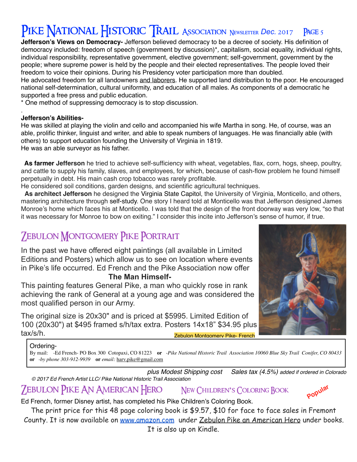# PIKE NATIONAL HISTORIC TRAIL ASSOCIATION NEWSLETTER Dec. 2017 PAGE 5

**Jefferson's Views on Democracy-** Jefferson believed democracy to be a decree of society. His definition of democracy included: freedom of speech (government by discussion)\**,* capitalism, social equality, individual rights, individual responsibility, representative government, elective government; self-government, government by the people; where supreme power is held by the people and their elected representatives. The people loved their freedom to voice their opinions. During his Presidency voter participation more than doubled.

He advocated freedom for all landowners and laborers. He supported land distribution to the poor. He encouraged national self-determination, cultural uniformity, and education of all males. As components of a democratic he supported a free press and public education.

\* One method of suppressing democracy is to stop discussion.

#### . **Jefferson's Abilities-**

He was skilled at playing the violin and cello and accompanied his wife Martha in song. He, of course, was an able, prolific thinker, linguist and writer, and able to speak numbers of languages. He was financially able (with others) to support education founding the University of Virginia in 1819. He was an able surveyor as his father.

 **As farmer Jefferson** he tried to achieve self-sufficiency with wheat, vegetables, flax, corn, hogs, sheep, poultry, and cattle to supply his family, slaves, and employees, for which, because of cash-flow problem he found himself perpetually in debt. His main cash crop tobacco was rarely profitable.

He considered soil conditions, garden designs, and scientific agricultural techniques.

 **As architect Jefferson** he designed the Virginia State Capitol, the University of Virginia, Monticello, and others, mastering architecture through self-study. One story I heard told at Monticello was that Jefferson designed James Monroe's home which faces his at Monticello. I was told that the design of the front doorway was very low, "so that it was necessary for Monroe to bow on exiting." I consider this incite into Jefferson's sense of humor, if true.

## **ZEBULON MONTGOMERY PIKE PORTRAIT**

In the past we have offered eight paintings (all available in Limited Editions and Posters) which allow us to see on location where events in Pike's life occurred. Ed French and the Pike Association now offer

#### **The Man Himself-**

This painting features General Pike, a man who quickly rose in rank achieving the rank of General at a young age and was considered the most qualified person in our Army.

The original size is 20x30" and is priced at \$5995. Limited Edition of 100 (20x30") at \$495 framed s/h/tax extra. Posters 14x18" \$34.95 plus tax/s/h. Zebulon Montgomery Pike- French



#### Ordering-

By mail: -Ed French- PO Box 300 Cotopaxi, CO 81223 **or** -*Pike National Historic Trail Association 10060 Blue Sky Trail Conifer, CO 80433*  **or** *-by phone 303-912-9939* **or** *email:* [harv.pike@gmail.com](mailto:harv.pike@gmail.com)

*plus Modest Shipping cost Sales tax (4.5%) added if ordered in Colorado © 2017 Ed French Artist LLC/ Pike National Historic Trail Association* **Popular**

## Zebulon Pike An American Hero New Children**'**s Coloring Book

Ed French, former Disney artist, has completed his Pike Children's Coloring Book.

The print price for this 48 page coloring book is \$9.57, \$10 for face to face sales in Fremont County. It is now available on [www.amazon.com](http://www.amazon.com/) under Zebulon Pike an American Hero under books. It is also up on Kindle.